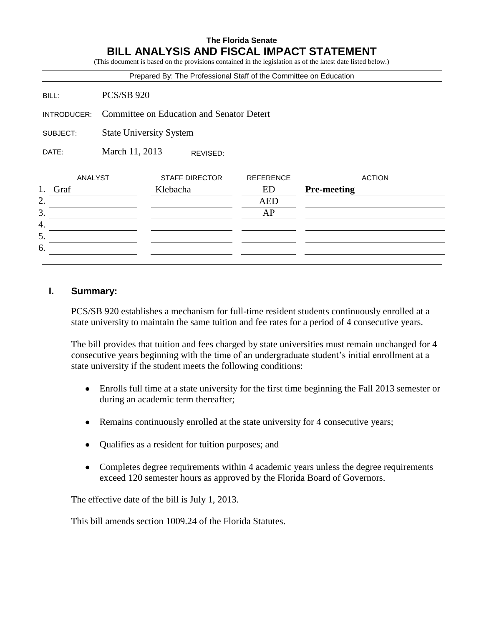## **The Florida Senate BILL ANALYSIS AND FISCAL IMPACT STATEMENT**

(This document is based on the provisions contained in the legislation as of the latest date listed below.)

|             |                                                  | Prepared By: The Professional Staff of the Committee on Education |                  |                    |
|-------------|--------------------------------------------------|-------------------------------------------------------------------|------------------|--------------------|
| BILL:       | <b>PCS/SB 920</b>                                |                                                                   |                  |                    |
| INTRODUCER: | <b>Committee on Education and Senator Detert</b> |                                                                   |                  |                    |
| SUBJECT:    | <b>State University System</b>                   |                                                                   |                  |                    |
| DATE:       | March 11, 2013                                   | REVISED:                                                          |                  |                    |
| ANALYST     |                                                  | <b>STAFF DIRECTOR</b>                                             | <b>REFERENCE</b> | <b>ACTION</b>      |
| 1.<br>Graf  |                                                  | Klebacha                                                          | ED               | <b>Pre-meeting</b> |
| 2.          |                                                  |                                                                   | <b>AED</b>       |                    |
| 3.          |                                                  |                                                                   | AP               |                    |
| 4.          |                                                  |                                                                   |                  |                    |
| 5.          |                                                  |                                                                   |                  |                    |
| 6.          |                                                  |                                                                   |                  |                    |

#### **I. Summary:**

PCS/SB 920 establishes a mechanism for full-time resident students continuously enrolled at a state university to maintain the same tuition and fee rates for a period of 4 consecutive years.

The bill provides that tuition and fees charged by state universities must remain unchanged for 4 consecutive years beginning with the time of an undergraduate student's initial enrollment at a state university if the student meets the following conditions:

- Enrolls full time at a state university for the first time beginning the Fall 2013 semester or during an academic term thereafter;
- Remains continuously enrolled at the state university for 4 consecutive years;
- Qualifies as a resident for tuition purposes; and
- Completes degree requirements within 4 academic years unless the degree requirements exceed 120 semester hours as approved by the Florida Board of Governors.

The effective date of the bill is July 1, 2013.

This bill amends section 1009.24 of the Florida Statutes.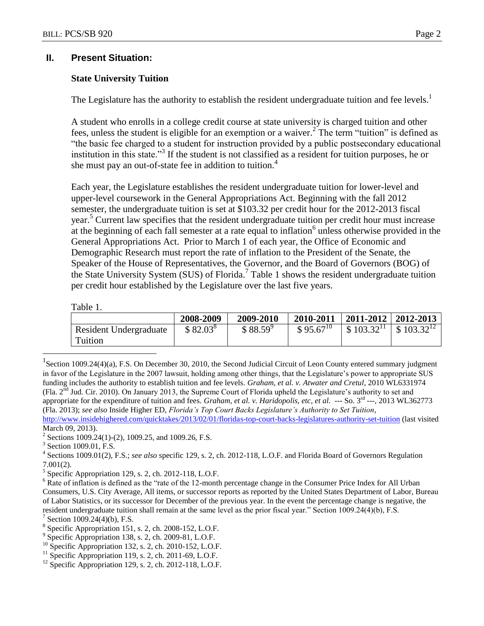#### **II. Present Situation:**

#### **State University Tuition**

The Legislature has the authority to establish the resident undergraduate tuition and fee levels.<sup>1</sup>

A student who enrolls in a college credit course at state university is charged tuition and other fees, unless the student is eligible for an exemption or a waiver.<sup>2</sup> The term "tuition" is defined as "the basic fee charged to a student for instruction provided by a public postsecondary educational institution in this state."<sup>3</sup> If the student is not classified as a resident for tuition purposes, he or she must pay an out-of-state fee in addition to tuition.<sup>4</sup>

Each year, the Legislature establishes the resident undergraduate tuition for lower-level and upper-level coursework in the General Appropriations Act. Beginning with the fall 2012 semester, the undergraduate tuition is set at \$103.32 per credit hour for the 2012-2013 fiscal year. <sup>5</sup> Current law specifies that the resident undergraduate tuition per credit hour must increase at the beginning of each fall semester at a rate equal to inflation<sup>6</sup> unless otherwise provided in the General Appropriations Act. Prior to March 1 of each year, the Office of Economic and Demographic Research must report the rate of inflation to the President of the Senate, the Speaker of the House of Representatives, the Governor, and the Board of Governors (BOG) of the State University System (SUS) of Florida. 7 Table 1 shows the resident undergraduate tuition per credit hour established by the Legislature over the last five years.

Table 1.

 $\overline{a}$ 

| .                      |            |            |               |                           |                                       |
|------------------------|------------|------------|---------------|---------------------------|---------------------------------------|
|                        | 2008-2009  | 2009-2010  | 2010-2011     | $2011 - 2012$   2012-2013 |                                       |
| Resident Undergraduate | $$82.03^8$ | $$88.59^9$ | $$95.67^{10}$ | \$103.32 <sup>11</sup>    | $\frac{1}{2}$ \$ 103.32 <sup>12</sup> |
| Tuition                |            |            |               |                           |                                       |
|                        |            |            |               |                           |                                       |

<sup>&</sup>lt;sup>1</sup> Section 1009.24(4)(a), F.S. On December 30, 2010, the Second Judicial Circuit of Leon County entered summary judgment in favor of the Legislature in the 2007 lawsuit, holding among other things, that the Legislature's power to appropriate SUS funding includes the authority to establish tuition and fee levels. *Graham, et al. v. Atwater and Cretul*, 2010 WL6331974 (Fla. 2nd Jud. Cir. 2010). On January 2013, the Supreme Court of Florida upheld the Legislature's authority to set and appropriate for the expenditure of tuition and fees. *Graham, et al. v. Haridopolis, etc, et al.* --- So. 3<sup>rd</sup> ---, 2013 WL362773 (Fla. 2013); *see also* Inside Higher ED, *Florida's Top Court Backs Legislature's Authority to Set Tuition*, <http://www.insidehighered.com/quicktakes/2013/02/01/floridas-top-court-backs-legislatures-authority-set-tuition> (last visited March 09, 2013).

<sup>&</sup>lt;sup>2</sup> Sections 1009.24(1)-(2), 1009.25, and 1009.26, F.S.

<sup>&</sup>lt;sup>3</sup> Section 1009.01, F.S.

<sup>4</sup> Sections 1009.01(2), F.S.; *see also* specific 129, s. 2, ch. 2012-118, L.O.F. and Florida Board of Governors Regulation 7.001(2).

 $<sup>5</sup>$  Specific Appropriation 129, s. 2, ch. 2012-118, L.O.F.</sup>

<sup>&</sup>lt;sup>6</sup> Rate of inflation is defined as the "rate of the 12-month percentage change in the Consumer Price Index for All Urban Consumers, U.S. City Average, All items, or successor reports as reported by the United States Department of Labor, Bureau of Labor Statistics, or its successor for December of the previous year. In the event the percentage change is negative, the resident undergraduate tuition shall remain at the same level as the prior fiscal year." Section 1009.24(4)(b), F.S. 7

Section 1009.24(4)(b), F.S.

<sup>&</sup>lt;sup>8</sup> Specific Appropriation 151, s. 2, ch. 2008-152, L.O.F.

<sup>&</sup>lt;sup>9</sup> Specific Appropriation 138, s. 2, ch. 2009-81, L.O.F.

 $^{10}$  Specific Appropriation 132, s. 2, ch. 2010-152, L.O.F.

 $11$  Specific Appropriation 119, s. 2, ch. 2011-69, L.O.F.

 $12$  Specific Appropriation 129, s. 2, ch. 2012-118, L.O.F.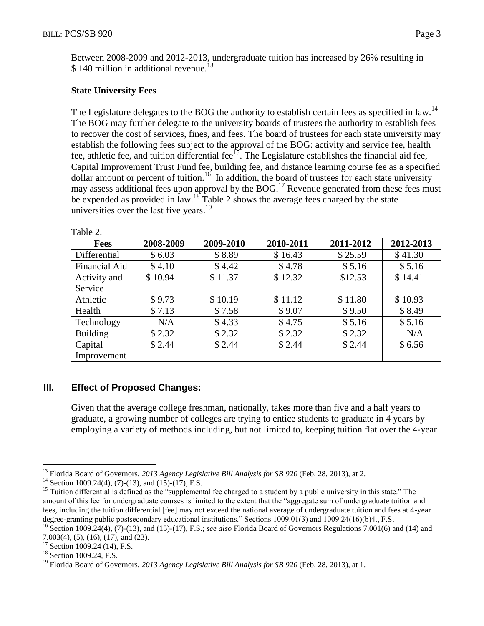Between 2008-2009 and 2012-2013, undergraduate tuition has increased by 26% resulting in \$ 140 million in additional revenue.<sup>13</sup>

### **State University Fees**

The Legislature delegates to the BOG the authority to establish certain fees as specified in law.<sup>14</sup> The BOG may further delegate to the university boards of trustees the authority to establish fees to recover the cost of services, fines, and fees. The board of trustees for each state university may establish the following fees subject to the approval of the BOG: activity and service fee, health fee, athletic fee, and tuition differential fee<sup> $15$ </sup>. The Legislature establishes the financial aid fee, Capital Improvement Trust Fund fee, building fee, and distance learning course fee as a specified dollar amount or percent of tuition.<sup>16</sup> In addition, the board of trustees for each state university may assess additional fees upon approval by the BOG.<sup>17</sup> Revenue generated from these fees must be expended as provided in law.<sup>18</sup> Table 2 shows the average fees charged by the state universities over the last five years.<sup>19</sup>

| <b>Fees</b>     | 2008-2009 | 2009-2010 | 2010-2011 | 2011-2012 | 2012-2013 |
|-----------------|-----------|-----------|-----------|-----------|-----------|
| Differential    | \$6.03    | \$8.89    | \$16.43   | \$25.59   | \$41.30   |
| Financial Aid   | \$4.10    | \$4.42    | \$4.78    | \$5.16    | \$5.16    |
| Activity and    | \$10.94   | \$11.37   | \$12.32   | \$12.53   | \$14.41   |
| Service         |           |           |           |           |           |
| Athletic        | \$9.73    | \$10.19   | \$11.12   | \$11.80   | \$10.93   |
| Health          | \$7.13    | \$7.58    | \$9.07    | \$9.50    | \$8.49    |
| Technology      | N/A       | \$4.33    | \$4.75    | \$5.16    | \$5.16    |
| <b>Building</b> | \$2.32    | \$2.32    | \$2.32    | \$2.32    | N/A       |
| Capital         | \$2.44    | \$2.44    | \$2.44    | \$2.44    | \$6.56    |
| Improvement     |           |           |           |           |           |

Table 2.

## **III. Effect of Proposed Changes:**

Given that the average college freshman, nationally, takes more than five and a half years to graduate, a growing number of colleges are trying to entice students to graduate in 4 years by employing a variety of methods including, but not limited to, keeping tuition flat over the 4-year

 $\overline{a}$ <sup>13</sup> Florida Board of Governors, *2013 Agency Legislative Bill Analysis for SB 920* (Feb. 28, 2013), at 2.

<sup>&</sup>lt;sup>14</sup> Section 1009.24(4), (7)-(13), and (15)-(17), F.S.

<sup>&</sup>lt;sup>15</sup> Tuition differential is defined as the "supplemental fee charged to a student by a public university in this state." The amount of this fee for undergraduate courses is limited to the extent that the "aggregate sum of undergraduate tuition and fees, including the tuition differential [fee] may not exceed the national average of undergraduate tuition and fees at 4-year degree-granting public postsecondary educational institutions." Sections 1009.01(3) and 1009.24(16)(b)4., F.S.

<sup>16</sup> Section 1009.24(4), (7)-(13), and (15)-(17), F.S.; *see also* Florida Board of Governors Regulations 7.001(6) and (14) and 7.003(4), (5), (16), (17), and (23).

<sup>&</sup>lt;sup>17</sup> Section 1009.24 (14), F.S.

<sup>&</sup>lt;sup>18</sup> Section 1009.24, F.S.

<sup>19</sup> Florida Board of Governors, *2013 Agency Legislative Bill Analysis for SB 920* (Feb. 28, 2013), at 1.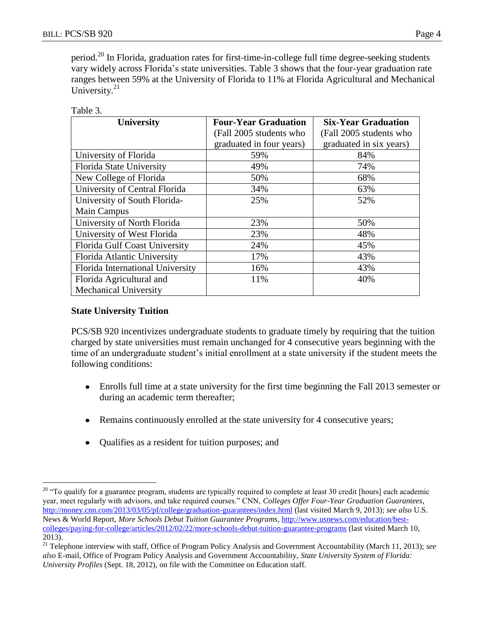period.<sup>20</sup> In Florida, graduation rates for first-time-in-college full time degree-seeking students vary widely across Florida's state universities. Table 3 shows that the four-year graduation rate ranges between 59% at the University of Florida to 11% at Florida Agricultural and Mechanical University.<sup>21</sup>

| Table |  |
|-------|--|
|       |  |

| <b>University</b>                | <b>Four-Year Graduation</b> | <b>Six-Year Graduation</b> |  |
|----------------------------------|-----------------------------|----------------------------|--|
|                                  | (Fall 2005 students who     | (Fall 2005 students who    |  |
|                                  | graduated in four years)    | graduated in six years)    |  |
| University of Florida            | 59%                         | 84%                        |  |
| Florida State University         | 49%                         | 74%                        |  |
| New College of Florida           | 50%                         | 68%                        |  |
| University of Central Florida    | 34%                         | 63%                        |  |
| University of South Florida-     | 25%                         | 52%                        |  |
| <b>Main Campus</b>               |                             |                            |  |
| University of North Florida      | 23%                         | 50%                        |  |
| University of West Florida       | 23%                         | 48%                        |  |
| Florida Gulf Coast University    | 24%                         | 45%                        |  |
| Florida Atlantic University      | 17%                         | 43%                        |  |
| Florida International University | 16%                         | 43%                        |  |
| Florida Agricultural and         | 11%                         | 40%                        |  |
| <b>Mechanical University</b>     |                             |                            |  |

#### **State University Tuition**

 $\overline{a}$ 

PCS/SB 920 incentivizes undergraduate students to graduate timely by requiring that the tuition charged by state universities must remain unchanged for 4 consecutive years beginning with the time of an undergraduate student's initial enrollment at a state university if the student meets the following conditions:

- Enrolls full time at a state university for the first time beginning the Fall 2013 semester or during an academic term thereafter;
- Remains continuously enrolled at the state university for 4 consecutive years;  $\bullet$
- Qualifies as a resident for tuition purposes; and  $\bullet$

<sup>&</sup>lt;sup>20</sup> "To qualify for a guarantee program, students are typically required to complete at least 30 credit [hours] each academic year, meet regularly with advisors, and take required courses." CNN, *Colleges Offer Four-Year Graduation Guarantees*, <http://money.cnn.com/2013/03/05/pf/college/graduation-guarantees/index.html> (last visited March 9, 2013); *see also* U.S. News & World Report, *More Schools Debut Tuition Guarantee Programs*, [http://www.usnews.com/education/best](http://www.usnews.com/education/best-colleges/paying-for-college/articles/2012/02/22/more-schools-debut-tuition-guarantee-programs)[colleges/paying-for-college/articles/2012/02/22/more-schools-debut-tuition-guarantee-programs](http://www.usnews.com/education/best-colleges/paying-for-college/articles/2012/02/22/more-schools-debut-tuition-guarantee-programs) (last visited March 10, 2013).

<sup>21</sup> Telephone interview with staff, Office of Program Policy Analysis and Government Accountability (March 11, 2013); *see also* E-mail, Office of Program Policy Analysis and Government Accountability, *State University System of Florida: University Profiles* (Sept. 18, 2012), on file with the Committee on Education staff.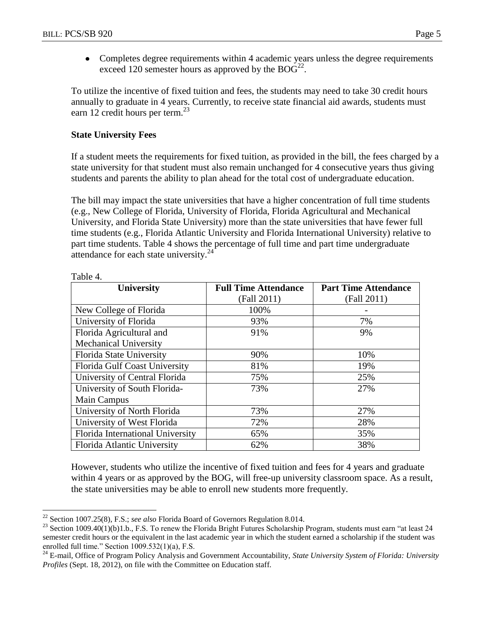• Completes degree requirements within 4 academic years unless the degree requirements exceed 120 semester hours as approved by the  $BOG^{22}$ .

To utilize the incentive of fixed tuition and fees, the students may need to take 30 credit hours annually to graduate in 4 years. Currently, to receive state financial aid awards, students must earn 12 credit hours per term. $^{23}$ 

#### **State University Fees**

If a student meets the requirements for fixed tuition, as provided in the bill, the fees charged by a state university for that student must also remain unchanged for 4 consecutive years thus giving students and parents the ability to plan ahead for the total cost of undergraduate education.

The bill may impact the state universities that have a higher concentration of full time students (e.g., New College of Florida, University of Florida, Florida Agricultural and Mechanical University, and Florida State University) more than the state universities that have fewer full time students (e.g., Florida Atlantic University and Florida International University) relative to part time students. Table 4 shows the percentage of full time and part time undergraduate attendance for each state university. $^{24}$ 

| <b>University</b>                | <b>Full Time Attendance</b> | <b>Part Time Attendance</b> |  |
|----------------------------------|-----------------------------|-----------------------------|--|
|                                  | (Fall 2011)                 | (Fall 2011)                 |  |
| New College of Florida           | 100%                        |                             |  |
| University of Florida            | 93%                         | 7%                          |  |
| Florida Agricultural and         | 91%                         | 9%                          |  |
| <b>Mechanical University</b>     |                             |                             |  |
| Florida State University         | 90%                         | 10%                         |  |
| Florida Gulf Coast University    | 81%                         | 19%                         |  |
| University of Central Florida    | 75%                         | 25%                         |  |
| University of South Florida-     | 73%                         | 27%                         |  |
| Main Campus                      |                             |                             |  |
| University of North Florida      | 73%                         | 27%                         |  |
| University of West Florida       | 72%                         | 28%                         |  |
| Florida International University | 65%                         | 35%                         |  |
| Florida Atlantic University      | 62%                         | 38%                         |  |

Table 4.

 $\overline{a}$ 

However, students who utilize the incentive of fixed tuition and fees for 4 years and graduate within 4 years or as approved by the BOG, will free-up university classroom space. As a result, the state universities may be able to enroll new students more frequently.

<sup>22</sup> Section 1007.25(8), F.S.; *see also* Florida Board of Governors Regulation 8.014.

 $^{23}$  Section 1009.40(1)(b)1.b., F.S. To renew the Florida Bright Futures Scholarship Program, students must earn "at least 24 semester credit hours or the equivalent in the last academic year in which the student earned a scholarship if the student was enrolled full time." Section 1009.532(1)(a), F.S.

<sup>24</sup> E-mail, Office of Program Policy Analysis and Government Accountability, *State University System of Florida: University Profiles* (Sept. 18, 2012), on file with the Committee on Education staff.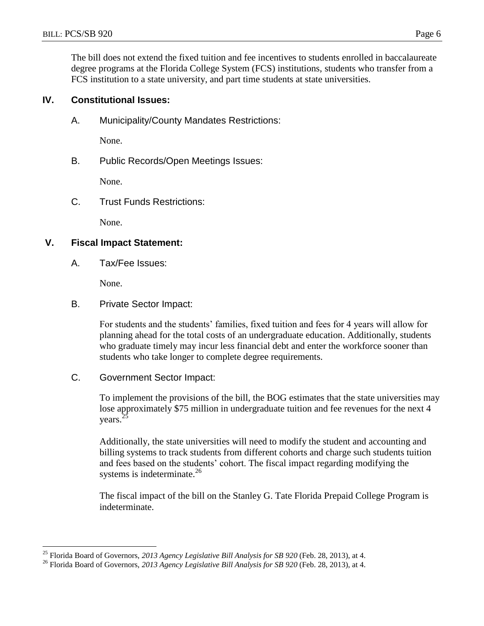The bill does not extend the fixed tuition and fee incentives to students enrolled in baccalaureate degree programs at the Florida College System (FCS) institutions, students who transfer from a FCS institution to a state university, and part time students at state universities.

#### **IV. Constitutional Issues:**

A. Municipality/County Mandates Restrictions:

None.

B. Public Records/Open Meetings Issues:

None.

C. Trust Funds Restrictions:

None.

#### **V. Fiscal Impact Statement:**

A. Tax/Fee Issues:

None.

 $\overline{a}$ 

B. Private Sector Impact:

For students and the students' families, fixed tuition and fees for 4 years will allow for planning ahead for the total costs of an undergraduate education. Additionally, students who graduate timely may incur less financial debt and enter the workforce sooner than students who take longer to complete degree requirements.

#### C. Government Sector Impact:

To implement the provisions of the bill, the BOG estimates that the state universities may lose approximately \$75 million in undergraduate tuition and fee revenues for the next 4 years. $<sup>2</sup>$ </sup>

Additionally, the state universities will need to modify the student and accounting and billing systems to track students from different cohorts and charge such students tuition and fees based on the students' cohort. The fiscal impact regarding modifying the systems is indeterminate. $^{26}$ 

The fiscal impact of the bill on the Stanley G. Tate Florida Prepaid College Program is indeterminate.

<sup>25</sup> Florida Board of Governors, *2013 Agency Legislative Bill Analysis for SB 920* (Feb. 28, 2013), at 4.

<sup>&</sup>lt;sup>26</sup> Florida Board of Governors, 2013 Agency Legislative Bill Analysis for SB 920 (Feb. 28, 2013), at 4.